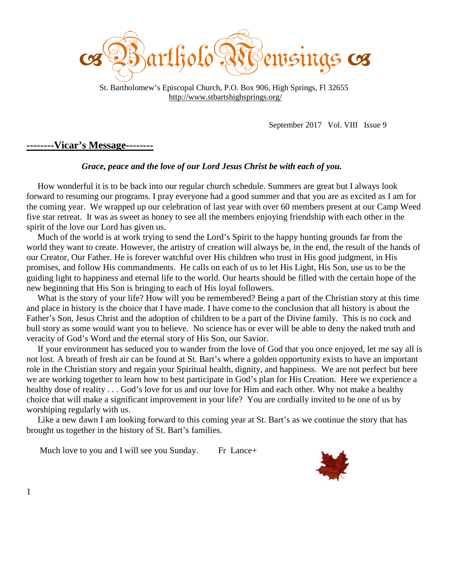

 St. Bartholomew's Episcopal Church, P.O. Box 906, High Springs, Fl 32655 http://www.stbartshighsprings.org/

September 2017 Vol. VIII Issue 9

#### **--------Vicar's Message--------**

#### *Grace, peace and the love of our Lord Jesus Christ be with each of you.*

 How wonderful it is to be back into our regular church schedule. Summers are great but I always look forward to resuming our programs. I pray everyone had a good summer and that you are as excited as I am for the coming year. We wrapped up our celebration of last year with over 60 members present at our Camp Weed five star retreat. It was as sweet as honey to see all the members enjoying friendship with each other in the spirit of the love our Lord has given us.

 Much of the world is at work trying to send the Lord's Spirit to the happy hunting grounds far from the world they want to create. However, the artistry of creation will always be, in the end, the result of the hands of our Creator, Our Father. He is forever watchful over His children who trust in His good judgment, in His promises, and follow His commandments. He calls on each of us to let His Light, His Son, use us to be the guiding light to happiness and eternal life to the world. Our hearts should be filled with the certain hope of the new beginning that His Son is bringing to each of His loyal followers.

 What is the story of your life? How will you be remembered? Being a part of the Christian story at this time and place in history is the choice that I have made. I have come to the conclusion that all history is about the Father's Son, Jesus Christ and the adoption of children to be a part of the Divine family. This is no cock and bull story as some would want you to believe. No science has or ever will be able to deny the naked truth and veracity of God's Word and the eternal story of His Son, our Savior.

 If your environment has seduced you to wander from the love of God that you once enjoyed, let me say all is not lost. A breath of fresh air can be found at St. Bart's where a golden opportunity exists to have an important role in the Christian story and regain your Spiritual health, dignity, and happiness. We are not perfect but here we are working together to learn how to best participate in God's plan for His Creation. Here we experience a healthy dose of reality . . . God's love for us and our love for Him and each other. Why not make a healthy choice that will make a significant improvement in your life? You are cordially invited to be one of us by worshiping regularly with us.

 Like a new dawn I am looking forward to this coming year at St. Bart's as we continue the story that has brought us together in the history of St. Bart's families.

Much love to you and I will see you Sunday. Fr Lance+



1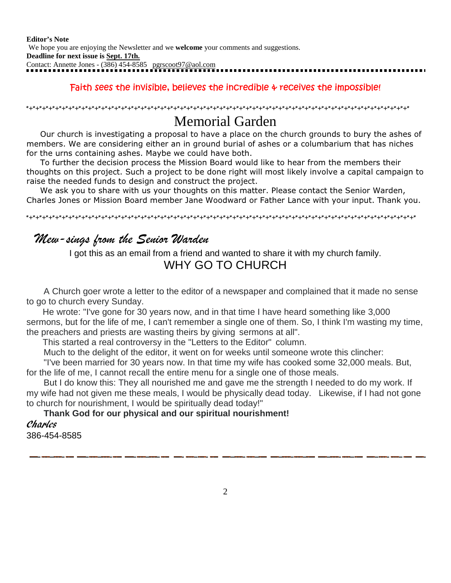**Editor's Note** We hope you are enjoying the Newsletter and we **welcome** your comments and suggestions. **Deadline for next issue is Sept. 17th.** Contact: Annette Jones - (386) 454-8585 pgrscoot97@aol.com

#### *Faith sees the invisible, believes the incredible & receives the impossible!*

\*+\*+\*+\*+\*+\*+\*+\*+\*+\*+\*+\*+\*+\*+\*+\*+\*+\*+\*+\*+\*+\*+\*+\*+\*+\*+\*+\*+\*+\*+\*+\*+\*+\*+\*+\*+\*+\*+\*+\*+\*+\*+\*+\*+\*+\*+\*+\*+\*+\*+\*+\*+\*+\*+\*+\*+\*+\*+\*

## Memorial Garden

 Our church is investigating a proposal to have a place on the church grounds to bury the ashes of members. We are considering either an in ground burial of ashes or a columbarium that has niches for the urns containing ashes. Maybe we could have both.

 To further the decision process the Mission Board would like to hear from the members their thoughts on this project. Such a project to be done right will most likely involve a capital campaign to raise the needed funds to design and construct the project.

 We ask you to share with us your thoughts on this matter. Please contact the Senior Warden, Charles Jones or Mission Board member Jane Woodward or Father Lance with your input. Thank you.

\*+\*+\*+\*+\*+\*+\*+\*+\*+\*+\*+\*+\*+\*+\*+\*+\*+\*+\*+\*+\*+\*+\*+\*+\*+\*+\*+\*+\*+\*+\*+\*+\*+\*+\*+\*+\*+\*+\*+\*+\*+\*+\*+\*+\*+\*+\*+\*+\*+\*+\*+\*+\*+\*+\*+\*+\*+\*+\*+\*

### Mew-sings from the Senior Warden

I got this as an email from a friend and wanted to share it with my church family. WHY GO TO CHURCH

 A Church goer wrote a letter to the editor of a newspaper and complained that it made no sense to go to church every Sunday.

 He wrote: "I've gone for 30 years now, and in that time I have heard something like 3,000 sermons, but for the life of me, I can't remember a single one of them. So, I think I'm wasting my time, the preachers and priests are wasting theirs by giving sermons at all".

This started a real controversy in the "Letters to the Editor" column.

Much to the delight of the editor, it went on for weeks until someone wrote this clincher:

 "I've been married for 30 years now. In that time my wife has cooked some 32,000 meals. But, for the life of me, I cannot recall the entire menu for a single one of those meals.

 But I do know this: They all nourished me and gave me the strength I needed to do my work. If my wife had not given me these meals, I would be physically dead today. Likewise, if I had not gone to church for nourishment, I would be spiritually dead today!"

#### **Thank God for our physical and our spiritual nourishment!** Charles

386-454-8585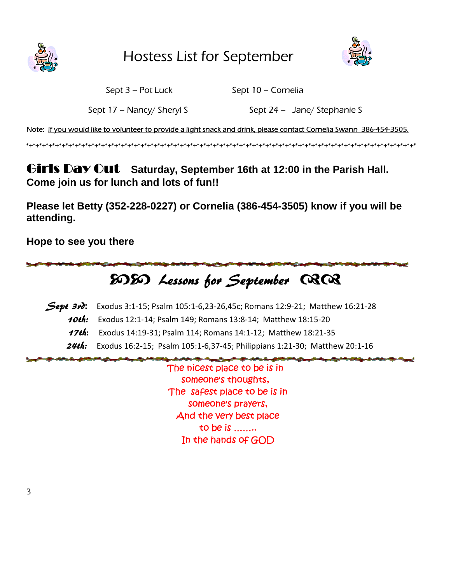

Hostess List for September



Sept 3 – Pot Luck Sept 10 – Cornelia

Sept 17 – Nancy/ Sheryl S Sept 24 – Jane/ Stephanie S

*Note: If you would like to volunteer to provide a light snack and drink, please contact Cornelia Swann 386-454-3505.*

\*+\*+\*+\*+\*+\*+\*+\*+\*+\*+\*+\*+\*+\*+\*+\*+\*+\*+\*+\*+\*+\*+\*+\*+\*+\*+\*+\*+\*+\*+\*+\*+\*+\*+\*+\*+\*+\*+\*+\*+\*+\*+\*+\*+\*+\*+\*+\*+\*+\*+\*+\*+\*+\*+\*+\*+\*+\*+\*+\*

Girls Day Out **Saturday, September 16th at 12:00 in the Parish Hall. Come join us for lunch and lots of fun!!**

**Please let Betty (352-228-0227) or Cornelia (386-454-3505) know if you will be attending.**

**Hope to see you there**

# EDED Lessons for September 0202

Sept 3rd: Exodus 3:1-15; Psalm 105:1-6,23-26,45c; Romans 12:9-21; Matthew 16:21-28 10th: Exodus 12:1-14; Psalm 149; Romans 13:8-14; Matthew 18:15-20 17th: Exodus 14:19-31; Psalm 114; Romans 14:1-12; Matthew 18:21-35 **24th:** Exodus 16:2-15; Psalm 105:1-6,37-45; Philippians 1:21-30; Matthew 20:1-16

> *The nicest place to be is in someone's thoughts, The safest place to be is in someone's prayers, And the very best place to be is …….. In the hands of GOD*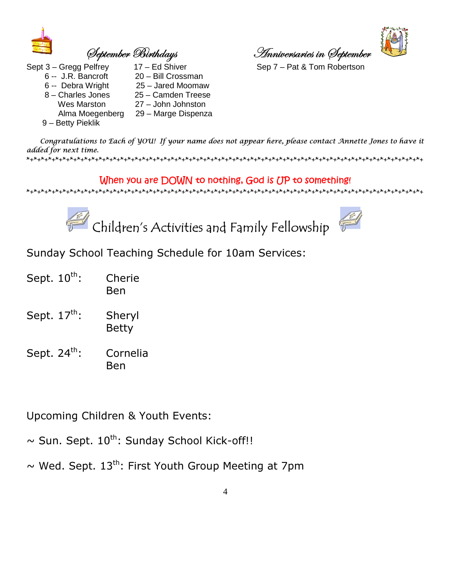

- 
- 6 -- J.R. Bancroft 20 Bill Crossman
- 6 -- Debra Wright 25 Jared Moomaw
- 8 Charles Jones 25 Camden Treese Wes Marston 27 – John Johnston Alma Moegenberg 29 – Marge Dispenza
- 9 Betty Pieklik
- 

fxÑàxÅuxÜ U|Üà{wtçá TÇÇ|äxÜátÜ|xá |Ç fxÑàxÅuxÜ



Sept 3 – Gregg Pelfrey 17 – Ed Shiver Sep 7 – Pat & Tom Robertson

 Congratulations to Each of YOU! If your name does not appear here, please contact Annette Jones to have it added for next time.

\*+\*+\*+\*+\*+\*+\*+\*+\*+\*+\*+\*+\*+\*+\*+\*+\*+\*+\*+\*+\*+\*+\*+\*+\*+\*+\*+\*+\*+\*+\*+\*+\*+\*+\*+\*+\*+\*+\*+\*+\*+\*+\*+\*+\*+\*+\*+\*+\*+\*+\*+\*+\*+\*+\*+

#### *When you are DOWN to nothing, God is UP to something!*

\*+\*+\*+\*+\*+\*+\*+\*+\*+\*+\*+\*+\*+\*+\*+\*+\*+\*+\*+\*+\*+\*+\*+\*+\*+\*+\*+\*+\*+\*+\*+\*+\*+\*+\*+\*+\*+\*+\*+\*+\*+\*+\*+\*+\*+\*+\*+\*+\*+\*+\*+\*+\*+\*+\*+





Sunday School Teaching Schedule for 10am Services:

- Sept. 10<sup>th</sup>: Cherie Ben
- Sept. 17<sup>th</sup>: Sheryl Betty
- Sept. 24<sup>th</sup>: Cornelia Ben

Upcoming Children & Youth Events:

 $\sim$  Sun. Sept. 10<sup>th</sup>: Sunday School Kick-off!!

 $\sim$  Wed. Sept. 13<sup>th</sup>: First Youth Group Meeting at 7pm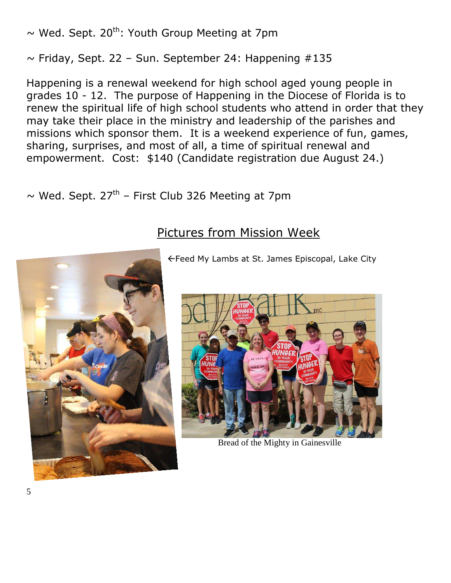$\sim$  Wed. Sept. 20<sup>th</sup>: Youth Group Meeting at 7pm

 $\sim$  Friday, Sept. 22 – Sun. September 24: Happening #135

Happening is a renewal weekend for high school aged young people in grades 10 - 12. The purpose of Happening in the Diocese of Florida is to renew the spiritual life of high school students who attend in order that they may take their place in the ministry and leadership of the parishes and missions which sponsor them. It is a weekend experience of fun, games, sharing, surprises, and most of all, a time of spiritual renewal and empowerment. Cost: \$140 (Candidate registration due August 24.)

 $\sim$  Wed. Sept. 27<sup>th</sup> – First Club 326 Meeting at 7pm

# Pictures from Mission Week



Feed My Lambs at St. James Episcopal, Lake City



Bread of the Mighty in Gainesville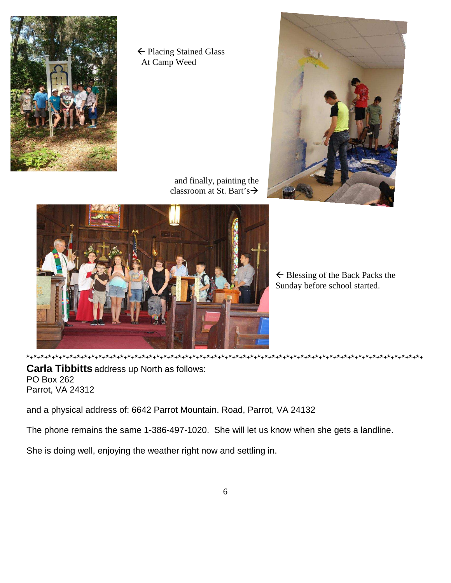

← Placing Stained Glass At Camp Weed



 and finally, painting the classroom at St. Bart's  $\rightarrow$ 



 $\leftarrow$  Blessing of the Back Packs the Sunday before school started.

**Carla Tibbitts** address up North as follows: PO Box 262 Parrot, VA 24312

and a physical address of: 6642 Parrot Mountain. Road, Parrot, VA 24132

The phone remains the same 1-386-497-1020. She will let us know when she gets a landline.

She is doing well, enjoying the weather right now and settling in.

\*+\*+\*+\*+\*+\*+\*+\*+\*+\*+\*+\*+\*+\*+\*+\*+\*+\*+\*+\*+\*+\*+\*+\*+\*+\*+\*+\*+\*+\*+\*+\*+\*+\*+\*+\*+\*+\*+\*+\*+\*+\*+\*+\*+\*+\*+\*+\*+\*+\*+\*+\*+\*+\*+\*+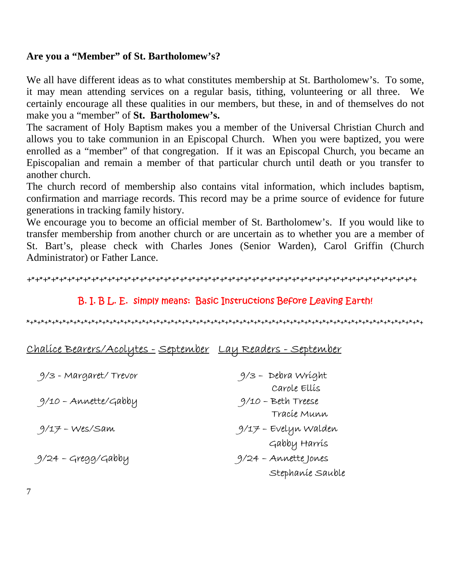#### **Are you a "Member" of St. Bartholomew's?**

We all have different ideas as to what constitutes membership at St. Bartholomew's. To some, it may mean attending services on a regular basis, tithing, volunteering or all three. We certainly encourage all these qualities in our members, but these, in and of themselves do not make you a "member" of **St. Bartholomew's.** 

The sacrament of Holy Baptism makes you a member of the Universal Christian Church and allows you to take communion in an Episcopal Church. When you were baptized, you were enrolled as a "member" of that congregation. If it was an Episcopal Church, you became an Episcopalian and remain a member of that particular church until death or you transfer to another church.

The church record of membership also contains vital information, which includes baptism, confirmation and marriage records. This record may be a prime source of evidence for future generations in tracking family history.

We encourage you to become an official member of St. Bartholomew's. If you would like to transfer membership from another church or are uncertain as to whether you are a member of St. Bart's, please check with Charles Jones (Senior Warden), Carol Griffin (Church Administrator) or Father Lance.

```
+*+*+*+*+*+*+*+*+*+*+*+*+*+*+*+*+*+*+*+*+*+*+*+*+*+*+*+*+*+*+*+*+*+*+*+*+*+*+*+*+*+*+*+*+*+*+*+*+
```
#### *B. I. B L. E. simply means: Basic Instructions Before Leaving Earth!*

\*+\*+\*+\*+\*+\*+\*+\*+\*+\*+\*+\*+\*+\*+\*+\*+\*+\*+\*+\*+\*+\*+\*+\*+\*+\*+\*+\*+\*+\*+\*+\*+\*+\*+\*+\*+\*+\*+\*+\*+\*+\*+\*+\*+\*+\*+\*+\*+\*+\*+\*+\*+\*+\*+\*+

| Chalíce Bearers/Acolytes - September Lay Readers - September |  |  |
|--------------------------------------------------------------|--|--|
|                                                              |  |  |

| 9/3 - Margaret/ Trevor | 9/3 - Debra Wríght                   |
|------------------------|--------------------------------------|
| 9/10 - Annette/Gabby   | Carole Ellís<br>$9/10$ – Beth Treese |
|                        | Tracíe Munn                          |
| 9/17 – Wes/Sam         | 9/17 - Evelyn Walden                 |
|                        | Gabby Harrís                         |
| 9/24 - Gregg/Gabby     | 9/24 - Annette Jones                 |
|                        | Stephanie Sauble                     |

7